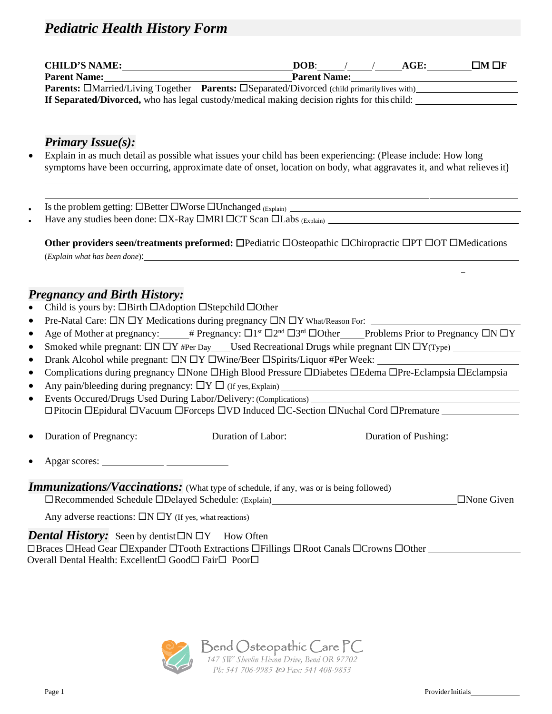## *Pediatric Health History Form*

| <b>CHILD'S NAME:</b> | $\Box M \Box F$<br>DOB:<br>AGE:                                                                           |
|----------------------|-----------------------------------------------------------------------------------------------------------|
| <b>Parent Name:</b>  | <b>Parent Name:</b>                                                                                       |
|                      | <b>Parents:</b> EMarried/Living Together <b>Parents:</b> ESeparated/Divorced (child primarily lives with) |
|                      | <b>If Separated/Divorced,</b> who has legal custody/medical making decision rights for this child:        |

### *Primary Issue(s):*

- Explain in as much detail as possible what issues your child has been experiencing: (Please include: How long symptoms have been occurring, approximate date of onset, location on body, what aggravates it, and what relievesit)
- Is the problem getting:  $\Box$ Better  $\Box$ Worse  $\Box$ Unchanged  $_{(Explain)}$
- Have any studies been done: X-Ray MRI CT Scan Labs (Explain)

**Other providers seen/treatments preformed:**  $\Box$ **Pediatric**  $\Box$ **Osteopathic**  $\Box$ **Chiropractic**  $\Box$ **PT**  $\Box$ **OT**  $\Box$ **Medications** (*Explain what has been done*):

### *Pregnancy and Birth History:*

- Child is yours by:  $\Box$  Birth  $\Box$  Adoption  $\Box$  Stepchild  $\Box$  Other
- Pre-Natal Care:  $\Box N \Box Y$  Medications during pregnancy  $\Box N \Box Y$  What/Reason For:
- Age of Mother at pregnancy: # Pregnancy:  $\Box$ <sup>1st</sup>  $\Box$ <sup>2nd</sup>  $\Box$ 3<sup>rd</sup>  $\Box$ Other Problems Prior to Pregnancy  $\Box$ N  $\Box$ Y
- Smoked while pregnant:  $\Box N \Box Y$  #Per Day Used Recreational Drugs while pregnant  $\Box N \Box Y$ (Type)
- Drank Alcohol while pregnant:  $\Box N \Box Y \Box W$ ine/Beer  $\Box Spirits/Liquor$  #Per Week:
- Complications during pregnancy  $\Box$  None  $\Box$  High Blood Pressure  $\Box$  Diabetes  $\Box$  Edema  $\Box$  Pre-Eclampsia  $\Box$  Eclampsia
- Any pain/bleeding during pregnancy:  $\Box Y \Box$  (If yes, Explain)
- Events Occured/Drugs Used During Labor/Delivery: (Complications) Pitocin Epidural Vacuum Forceps VD Induced C-Section Nuchal Cord Premature
- Duration of Pregnancy: Duration of Labor: Duration of Pushing:
- Apgar scores:

#### **Immunizations/Vaccinations:** (What type of schedule, if any, was or is being followed) Recommended Schedule Delayed Schedule: (Explain) None Given

\_

Any adverse reactions:  $\Box N \Box Y$  (If yes, what reactions)

*Dental History:* Seen by dentist  $\Box Y$  How Often □Braces □Head Gear □Expander □Tooth Extractions □Fillings □Root Canals □Crowns □Other Overall Dental Health: Excellent $\square$  Good $\square$  Fair $\square$  Poor $\square$ 

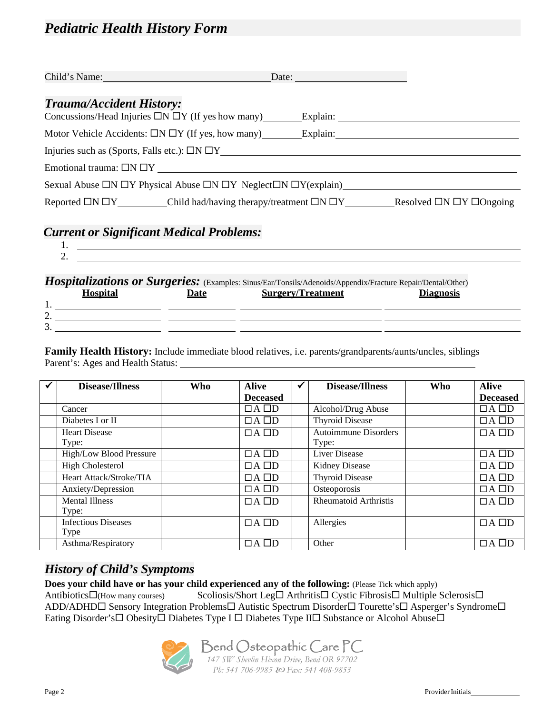## *Pediatric Health History Form*

| Child's Name: 1988                                                                                      | Date:                                 |
|---------------------------------------------------------------------------------------------------------|---------------------------------------|
| <b>Trauma/Accident History:</b><br>Concussions/Head Injuries $\Box N \Box Y$ (If yes how many) Explain: |                                       |
| Motor Vehicle Accidents: $\Box N \Box Y$ (If yes, how many) Explain:                                    |                                       |
| Injuries such as (Sports, Falls etc.): $\Box N \Box Y$                                                  |                                       |
| Emotional trauma: $\Box N \Box Y$                                                                       |                                       |
| Sexual Abuse $\Box N \Box Y$ Physical Abuse $\Box N \Box Y$ Neglect $\Box N \Box Y$ (explain)           |                                       |
| Reported $\Box N \Box Y$ Child had/having therapy/treatment $\Box N \Box Y$                             | Resolved $\Box N \Box Y \Box$ Ongoing |

### *Current or Significant Medical Problems:*

| <i>Hospitalizations or Surgeries:</i> (Examples: Sinus/Ear/Tonsils/Adenoids/Appendix/Fracture Repair/Dental/Other) |
|--------------------------------------------------------------------------------------------------------------------|

| <b>Surgery/Treatment</b><br><b>Hospital</b><br><b>Date</b> | <b>Diagnosis</b> |
|------------------------------------------------------------|------------------|
| . .                                                        |                  |
| ⌒<br>∠.                                                    |                  |
| $\sim$<br>ູ.                                               |                  |

**Family Health History:** Include immediate blood relatives, i.e. parents/grandparents/aunts/uncles, siblings Parent's: Ages and Health Status:

| <b>Disease/Illness</b>             | <b>Who</b> | <b>Alive</b>    | <b>Disease/Illness</b>               | <b>Who</b> | <b>Alive</b>    |
|------------------------------------|------------|-----------------|--------------------------------------|------------|-----------------|
|                                    |            | <b>Deceased</b> |                                      |            | <b>Deceased</b> |
| Cancer                             |            | $\Box A \Box D$ | Alcohol/Drug Abuse                   |            | $\Box A \Box D$ |
| Diabetes I or II                   |            | $\Box A \Box D$ | <b>Thyroid Disease</b>               |            | $\Box A \Box D$ |
| <b>Heart Disease</b><br>Type:      |            | $\Box A \Box D$ | <b>Autoimmune Disorders</b><br>Type: |            | $\Box A \Box D$ |
| High/Low Blood Pressure            |            | $\Box A \Box D$ | <b>Liver Disease</b>                 |            | $\Box A \Box D$ |
| <b>High Cholesterol</b>            |            | $\Box A \Box D$ | <b>Kidney Disease</b>                |            | $\Box A \Box D$ |
| Heart Attack/Stroke/TIA            |            | $\Box A \Box D$ | <b>Thyroid Disease</b>               |            | $\Box A \Box D$ |
| Anxiety/Depression                 |            | $\Box A \Box D$ | Osteoporosis                         |            | $\Box A \Box D$ |
| <b>Mental Illness</b><br>Type:     |            | $\Box A \Box D$ | <b>Rheumatoid Arthristis</b>         |            | $\Box A \Box D$ |
| <b>Infectious Diseases</b><br>Type |            | $\Box A \Box D$ | Allergies                            |            | $\Box A \Box D$ |
| Asthma/Respiratory                 |            | $\Box A \Box D$ | Other                                |            | $\Box A \Box D$ |

### *History of Child's Symptoms*

**Does your child have or has your child experienced any of the following:** (Please Tick which apply) Antibiotics $\Box$ (How many courses) Scoliosis/Short Leg $\Box$  Arthritis  $\Box$  Cystic Fibrosis  $\Box$  Multiple Sclerosis  $\Box$ ADD/ADHD<sup>I</sup> Sensory Integration Problems<sup>I</sup> Autistic Spectrum Disorder<sup>I</sup> Tourette's<sup>I</sup> Asperger's Syndrome<sup>I</sup> Eating Disorder's Obesity Diabetes Type I O Diabetes Type II Substance or Alcohol Abuse



Bend Osteopathic Care PC *147 SW Shevlin Hixon Drive, Bend OR 97702 Ph: 541 706-9985 Fax: 541 408-9853*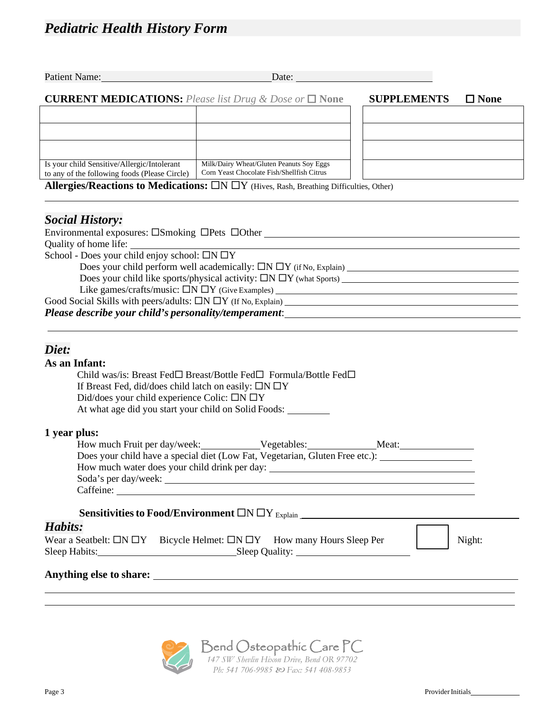|                                                                                                                                                                   | Patient Name: Name:<br>Date: and the contract of the contract of the contract of the contract of the contract of the contract of the contract of the contract of the contract of the contract of the contract of the contract of the contract of the                                                                                     |                    |                |
|-------------------------------------------------------------------------------------------------------------------------------------------------------------------|------------------------------------------------------------------------------------------------------------------------------------------------------------------------------------------------------------------------------------------------------------------------------------------------------------------------------------------|--------------------|----------------|
|                                                                                                                                                                   | <b>CURRENT MEDICATIONS:</b> Please list Drug & Dose or $\Box$ None                                                                                                                                                                                                                                                                       | <b>SUPPLEMENTS</b> | $\square$ None |
|                                                                                                                                                                   |                                                                                                                                                                                                                                                                                                                                          |                    |                |
|                                                                                                                                                                   |                                                                                                                                                                                                                                                                                                                                          |                    |                |
|                                                                                                                                                                   |                                                                                                                                                                                                                                                                                                                                          |                    |                |
|                                                                                                                                                                   |                                                                                                                                                                                                                                                                                                                                          |                    |                |
| Is your child Sensitive/Allergic/Intolerant<br>to any of the following foods (Please Circle)                                                                      | Milk/Dairy Wheat/Gluten Peanuts Soy Eggs<br>Corn Yeast Chocolate Fish/Shellfish Citrus                                                                                                                                                                                                                                                   |                    |                |
|                                                                                                                                                                   | Allergies/Reactions to Medications: $\Box N \Box Y$ (Hives, Rash, Breathing Difficulties, Other)                                                                                                                                                                                                                                         |                    |                |
| <b>Social History:</b>                                                                                                                                            |                                                                                                                                                                                                                                                                                                                                          |                    |                |
|                                                                                                                                                                   |                                                                                                                                                                                                                                                                                                                                          |                    |                |
|                                                                                                                                                                   |                                                                                                                                                                                                                                                                                                                                          |                    |                |
| School - Does your child enjoy school: $\Box N \Box Y$                                                                                                            |                                                                                                                                                                                                                                                                                                                                          |                    |                |
|                                                                                                                                                                   |                                                                                                                                                                                                                                                                                                                                          |                    |                |
|                                                                                                                                                                   |                                                                                                                                                                                                                                                                                                                                          |                    |                |
|                                                                                                                                                                   | Like games/crafts/music: $\Box N \Box Y$ (Give Examples)                                                                                                                                                                                                                                                                                 |                    |                |
|                                                                                                                                                                   |                                                                                                                                                                                                                                                                                                                                          |                    |                |
|                                                                                                                                                                   |                                                                                                                                                                                                                                                                                                                                          |                    |                |
| Diet:<br>As an Infant:<br>If Breast Fed, did/does child latch on easily: $\Box N \Box Y$<br>Did/does your child experience Colic: $\Box N \Box Y$<br>1 year plus: | Child was/is: Breast Fed□ Breast/Bottle Fed□ Formula/Bottle Fed□<br>At what age did you start your child on Solid Foods:<br>How much Fruit per day/week: Vegetables: Meat: Meat:<br>Does your child have a special diet (Low Fat, Vegetarian, Gluten Free etc.): ______________________<br>How much water does your child drink per day: |                    |                |
|                                                                                                                                                                   | Sensitivities to Food/Environment $\Box N \Box Y_{Explain}$ [2010]                                                                                                                                                                                                                                                                       |                    |                |
| Habits:                                                                                                                                                           |                                                                                                                                                                                                                                                                                                                                          |                    |                |
|                                                                                                                                                                   | Wear a Seatbelt: $\Box N \Box Y$ Bicycle Helmet: $\Box N \Box Y$ How many Hours Sleep Per                                                                                                                                                                                                                                                |                    | Night:         |
|                                                                                                                                                                   |                                                                                                                                                                                                                                                                                                                                          |                    |                |
|                                                                                                                                                                   |                                                                                                                                                                                                                                                                                                                                          |                    |                |
|                                                                                                                                                                   |                                                                                                                                                                                                                                                                                                                                          |                    |                |
|                                                                                                                                                                   |                                                                                                                                                                                                                                                                                                                                          |                    |                |
|                                                                                                                                                                   |                                                                                                                                                                                                                                                                                                                                          |                    |                |
|                                                                                                                                                                   |                                                                                                                                                                                                                                                                                                                                          |                    |                |